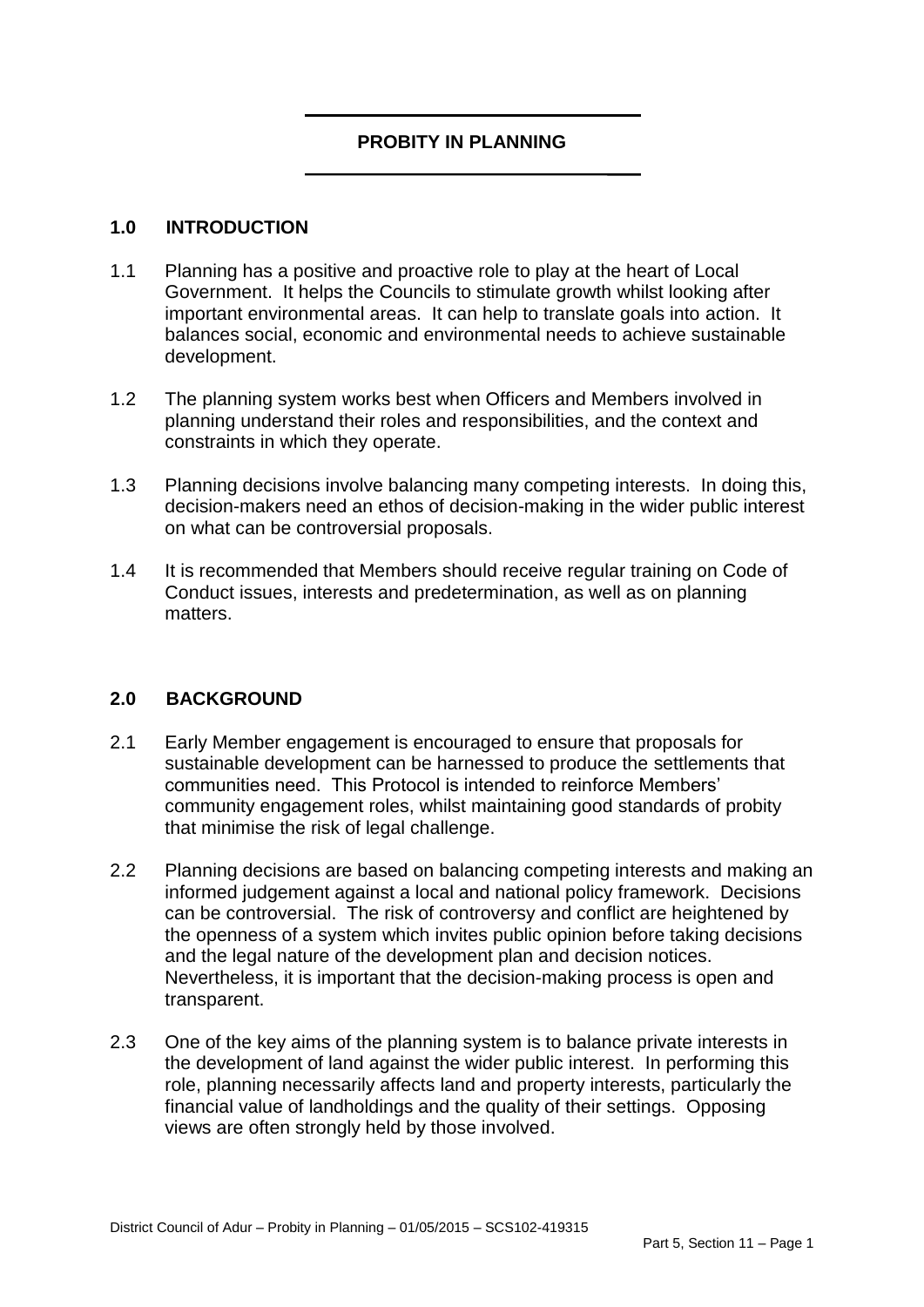### **PROBITY IN PLANNING**

#### **1.0 INTRODUCTION**

- 1.1 Planning has a positive and proactive role to play at the heart of Local Government. It helps the Councils to stimulate growth whilst looking after important environmental areas. It can help to translate goals into action. It balances social, economic and environmental needs to achieve sustainable development.
- 1.2 The planning system works best when Officers and Members involved in planning understand their roles and responsibilities, and the context and constraints in which they operate.
- 1.3 Planning decisions involve balancing many competing interests. In doing this, decision-makers need an ethos of decision-making in the wider public interest on what can be controversial proposals.
- 1.4 It is recommended that Members should receive regular training on Code of Conduct issues, interests and predetermination, as well as on planning matters.

### **2.0 BACKGROUND**

- 2.1 Early Member engagement is encouraged to ensure that proposals for sustainable development can be harnessed to produce the settlements that communities need. This Protocol is intended to reinforce Members' community engagement roles, whilst maintaining good standards of probity that minimise the risk of legal challenge.
- 2.2 Planning decisions are based on balancing competing interests and making an informed judgement against a local and national policy framework. Decisions can be controversial. The risk of controversy and conflict are heightened by the openness of a system which invites public opinion before taking decisions and the legal nature of the development plan and decision notices. Nevertheless, it is important that the decision-making process is open and transparent.
- 2.3 One of the key aims of the planning system is to balance private interests in the development of land against the wider public interest. In performing this role, planning necessarily affects land and property interests, particularly the financial value of landholdings and the quality of their settings. Opposing views are often strongly held by those involved.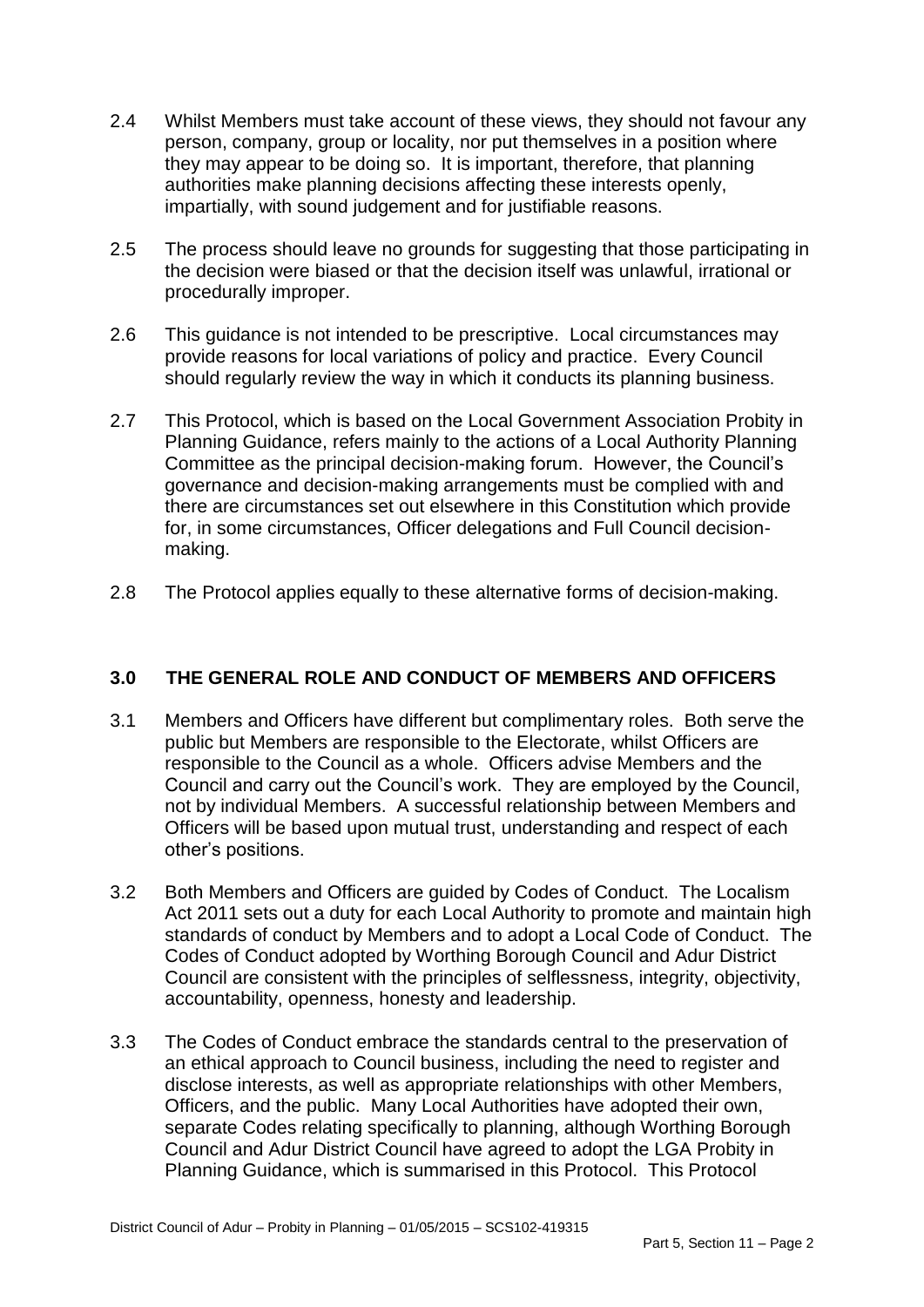- 2.4 Whilst Members must take account of these views, they should not favour any person, company, group or locality, nor put themselves in a position where they may appear to be doing so. It is important, therefore, that planning authorities make planning decisions affecting these interests openly, impartially, with sound judgement and for justifiable reasons.
- 2.5 The process should leave no grounds for suggesting that those participating in the decision were biased or that the decision itself was unlawful, irrational or procedurally improper.
- 2.6 This guidance is not intended to be prescriptive. Local circumstances may provide reasons for local variations of policy and practice. Every Council should regularly review the way in which it conducts its planning business.
- 2.7 This Protocol, which is based on the Local Government Association Probity in Planning Guidance, refers mainly to the actions of a Local Authority Planning Committee as the principal decision-making forum. However, the Council's governance and decision-making arrangements must be complied with and there are circumstances set out elsewhere in this Constitution which provide for, in some circumstances, Officer delegations and Full Council decisionmaking.
- 2.8 The Protocol applies equally to these alternative forms of decision-making.

### **3.0 THE GENERAL ROLE AND CONDUCT OF MEMBERS AND OFFICERS**

- 3.1 Members and Officers have different but complimentary roles. Both serve the public but Members are responsible to the Electorate, whilst Officers are responsible to the Council as a whole. Officers advise Members and the Council and carry out the Council's work. They are employed by the Council, not by individual Members. A successful relationship between Members and Officers will be based upon mutual trust, understanding and respect of each other's positions.
- 3.2 Both Members and Officers are guided by Codes of Conduct. The Localism Act 2011 sets out a duty for each Local Authority to promote and maintain high standards of conduct by Members and to adopt a Local Code of Conduct. The Codes of Conduct adopted by Worthing Borough Council and Adur District Council are consistent with the principles of selflessness, integrity, objectivity, accountability, openness, honesty and leadership.
- 3.3 The Codes of Conduct embrace the standards central to the preservation of an ethical approach to Council business, including the need to register and disclose interests, as well as appropriate relationships with other Members, Officers, and the public. Many Local Authorities have adopted their own, separate Codes relating specifically to planning, although Worthing Borough Council and Adur District Council have agreed to adopt the LGA Probity in Planning Guidance, which is summarised in this Protocol. This Protocol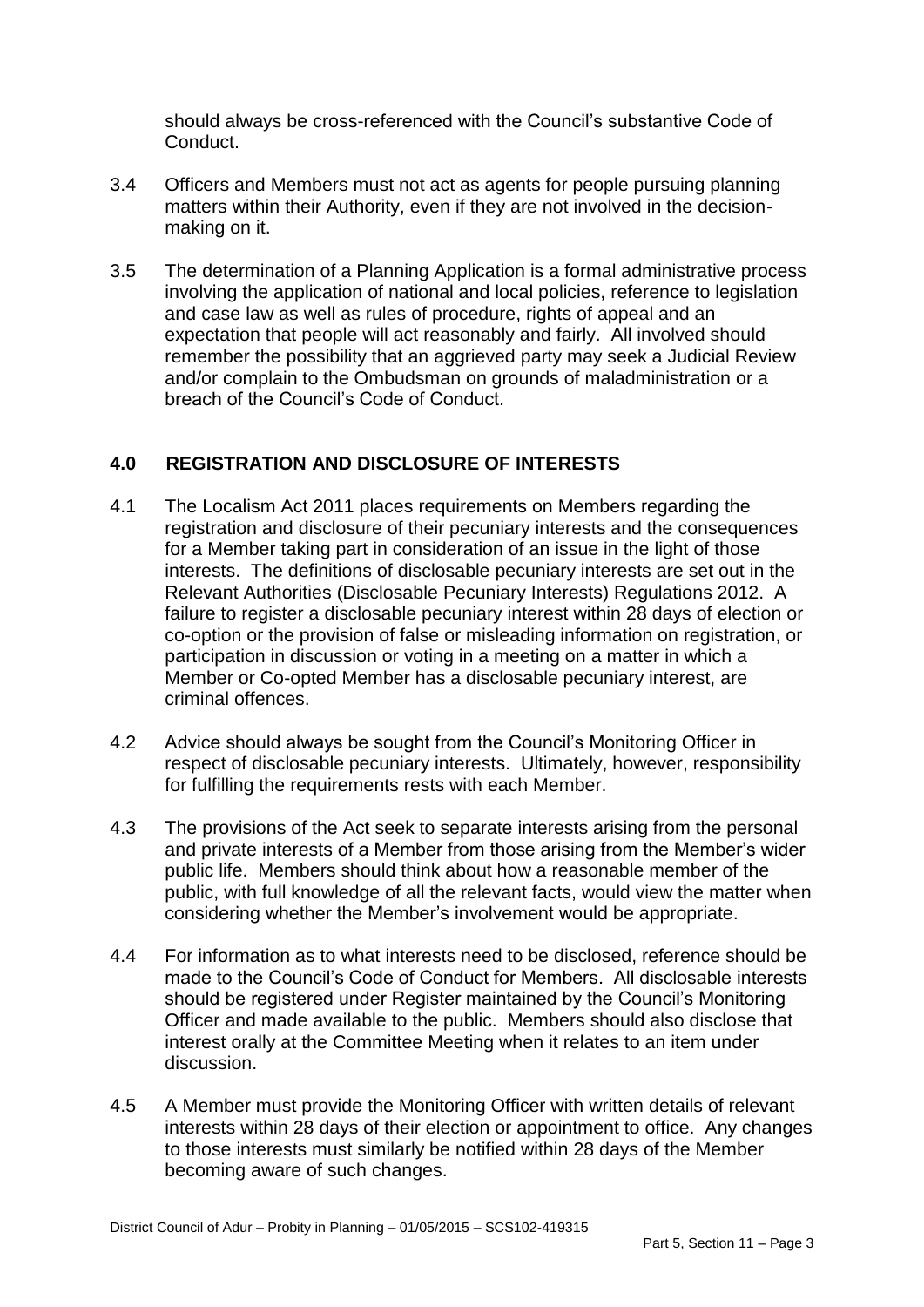should always be cross-referenced with the Council's substantive Code of Conduct.

- 3.4 Officers and Members must not act as agents for people pursuing planning matters within their Authority, even if they are not involved in the decisionmaking on it.
- 3.5 The determination of a Planning Application is a formal administrative process involving the application of national and local policies, reference to legislation and case law as well as rules of procedure, rights of appeal and an expectation that people will act reasonably and fairly. All involved should remember the possibility that an aggrieved party may seek a Judicial Review and/or complain to the Ombudsman on grounds of maladministration or a breach of the Council's Code of Conduct.

## **4.0 REGISTRATION AND DISCLOSURE OF INTERESTS**

- 4.1 The Localism Act 2011 places requirements on Members regarding the registration and disclosure of their pecuniary interests and the consequences for a Member taking part in consideration of an issue in the light of those interests. The definitions of disclosable pecuniary interests are set out in the Relevant Authorities (Disclosable Pecuniary Interests) Regulations 2012. A failure to register a disclosable pecuniary interest within 28 days of election or co-option or the provision of false or misleading information on registration, or participation in discussion or voting in a meeting on a matter in which a Member or Co-opted Member has a disclosable pecuniary interest, are criminal offences.
- 4.2 Advice should always be sought from the Council's Monitoring Officer in respect of disclosable pecuniary interests. Ultimately, however, responsibility for fulfilling the requirements rests with each Member.
- 4.3 The provisions of the Act seek to separate interests arising from the personal and private interests of a Member from those arising from the Member's wider public life. Members should think about how a reasonable member of the public, with full knowledge of all the relevant facts, would view the matter when considering whether the Member's involvement would be appropriate.
- 4.4 For information as to what interests need to be disclosed, reference should be made to the Council's Code of Conduct for Members. All disclosable interests should be registered under Register maintained by the Council's Monitoring Officer and made available to the public. Members should also disclose that interest orally at the Committee Meeting when it relates to an item under discussion.
- 4.5 A Member must provide the Monitoring Officer with written details of relevant interests within 28 days of their election or appointment to office. Any changes to those interests must similarly be notified within 28 days of the Member becoming aware of such changes.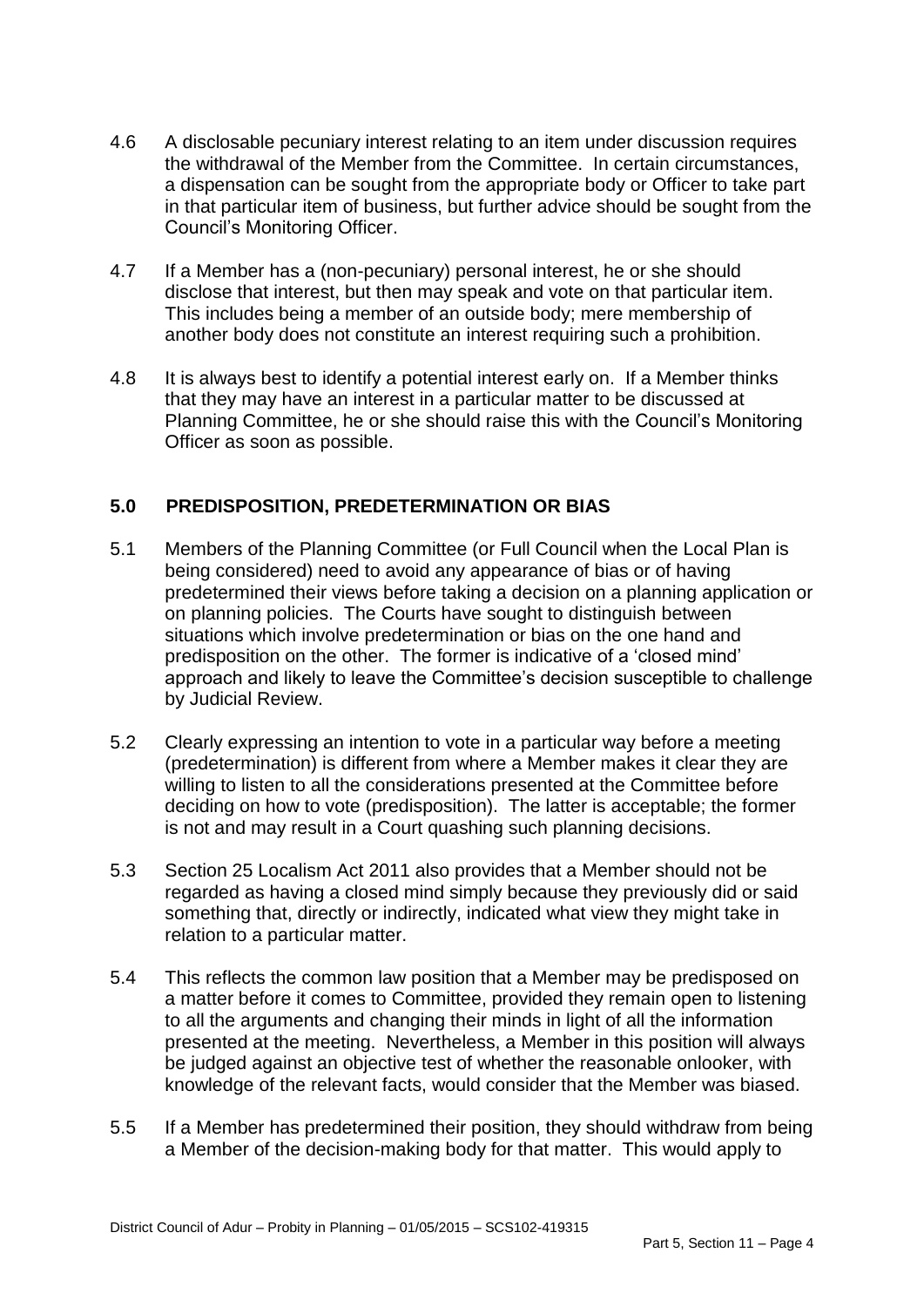- 4.6 A disclosable pecuniary interest relating to an item under discussion requires the withdrawal of the Member from the Committee. In certain circumstances, a dispensation can be sought from the appropriate body or Officer to take part in that particular item of business, but further advice should be sought from the Council's Monitoring Officer.
- 4.7 If a Member has a (non-pecuniary) personal interest, he or she should disclose that interest, but then may speak and vote on that particular item. This includes being a member of an outside body; mere membership of another body does not constitute an interest requiring such a prohibition.
- 4.8 It is always best to identify a potential interest early on. If a Member thinks that they may have an interest in a particular matter to be discussed at Planning Committee, he or she should raise this with the Council's Monitoring Officer as soon as possible.

## **5.0 PREDISPOSITION, PREDETERMINATION OR BIAS**

- 5.1 Members of the Planning Committee (or Full Council when the Local Plan is being considered) need to avoid any appearance of bias or of having predetermined their views before taking a decision on a planning application or on planning policies. The Courts have sought to distinguish between situations which involve predetermination or bias on the one hand and predisposition on the other. The former is indicative of a 'closed mind' approach and likely to leave the Committee's decision susceptible to challenge by Judicial Review.
- 5.2 Clearly expressing an intention to vote in a particular way before a meeting (predetermination) is different from where a Member makes it clear they are willing to listen to all the considerations presented at the Committee before deciding on how to vote (predisposition). The latter is acceptable; the former is not and may result in a Court quashing such planning decisions.
- 5.3 Section 25 Localism Act 2011 also provides that a Member should not be regarded as having a closed mind simply because they previously did or said something that, directly or indirectly, indicated what view they might take in relation to a particular matter.
- 5.4 This reflects the common law position that a Member may be predisposed on a matter before it comes to Committee, provided they remain open to listening to all the arguments and changing their minds in light of all the information presented at the meeting. Nevertheless, a Member in this position will always be judged against an objective test of whether the reasonable onlooker, with knowledge of the relevant facts, would consider that the Member was biased.
- 5.5 If a Member has predetermined their position, they should withdraw from being a Member of the decision-making body for that matter. This would apply to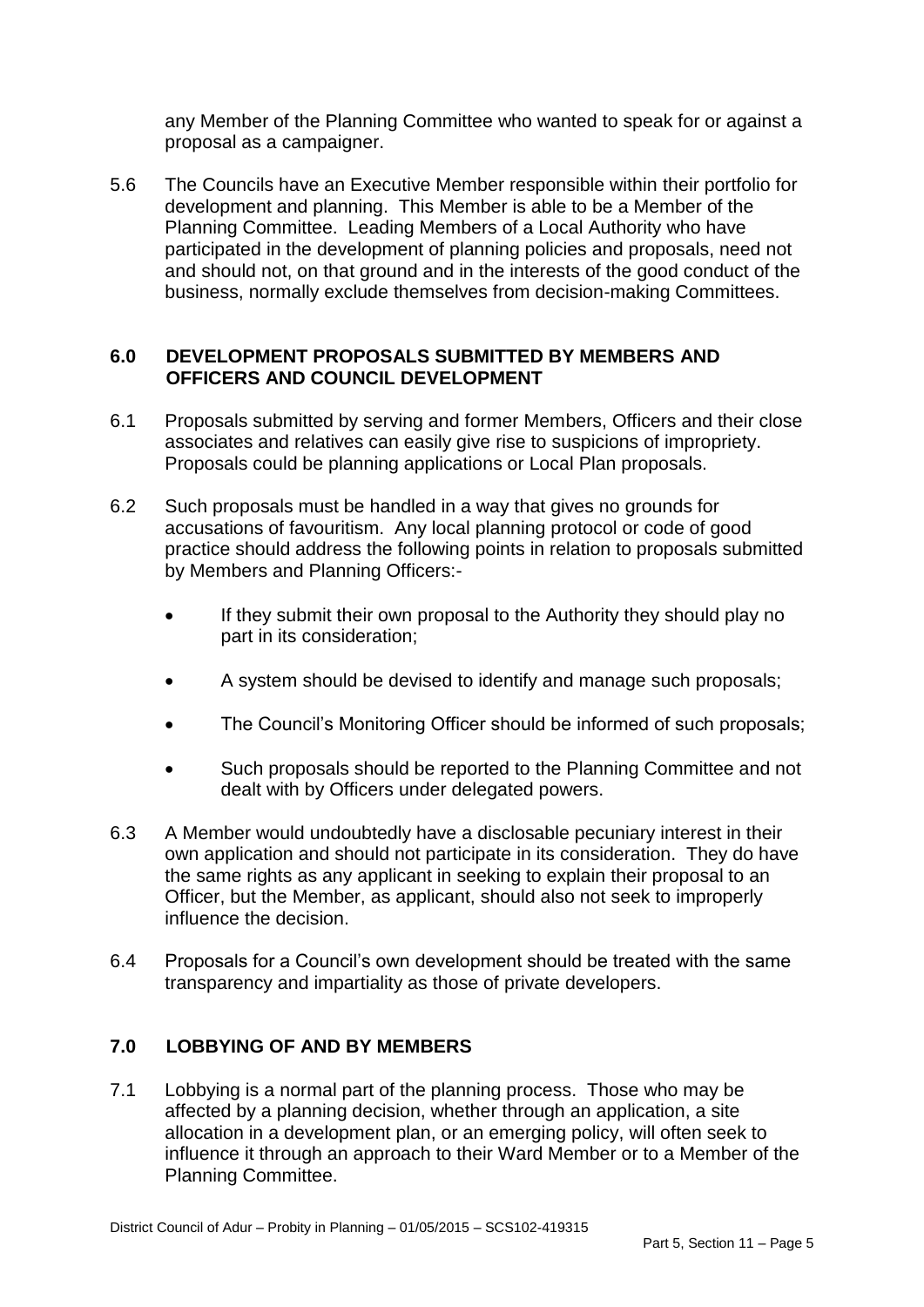any Member of the Planning Committee who wanted to speak for or against a proposal as a campaigner.

5.6 The Councils have an Executive Member responsible within their portfolio for development and planning. This Member is able to be a Member of the Planning Committee. Leading Members of a Local Authority who have participated in the development of planning policies and proposals, need not and should not, on that ground and in the interests of the good conduct of the business, normally exclude themselves from decision-making Committees.

### **6.0 DEVELOPMENT PROPOSALS SUBMITTED BY MEMBERS AND OFFICERS AND COUNCIL DEVELOPMENT**

- 6.1 Proposals submitted by serving and former Members, Officers and their close associates and relatives can easily give rise to suspicions of impropriety. Proposals could be planning applications or Local Plan proposals.
- 6.2 Such proposals must be handled in a way that gives no grounds for accusations of favouritism. Any local planning protocol or code of good practice should address the following points in relation to proposals submitted by Members and Planning Officers:-
	- If they submit their own proposal to the Authority they should play no part in its consideration;
	- A system should be devised to identify and manage such proposals;
	- The Council's Monitoring Officer should be informed of such proposals;
	- Such proposals should be reported to the Planning Committee and not dealt with by Officers under delegated powers.
- 6.3 A Member would undoubtedly have a disclosable pecuniary interest in their own application and should not participate in its consideration. They do have the same rights as any applicant in seeking to explain their proposal to an Officer, but the Member, as applicant, should also not seek to improperly influence the decision.
- 6.4 Proposals for a Council's own development should be treated with the same transparency and impartiality as those of private developers.

## **7.0 LOBBYING OF AND BY MEMBERS**

7.1 Lobbying is a normal part of the planning process. Those who may be affected by a planning decision, whether through an application, a site allocation in a development plan, or an emerging policy, will often seek to influence it through an approach to their Ward Member or to a Member of the Planning Committee.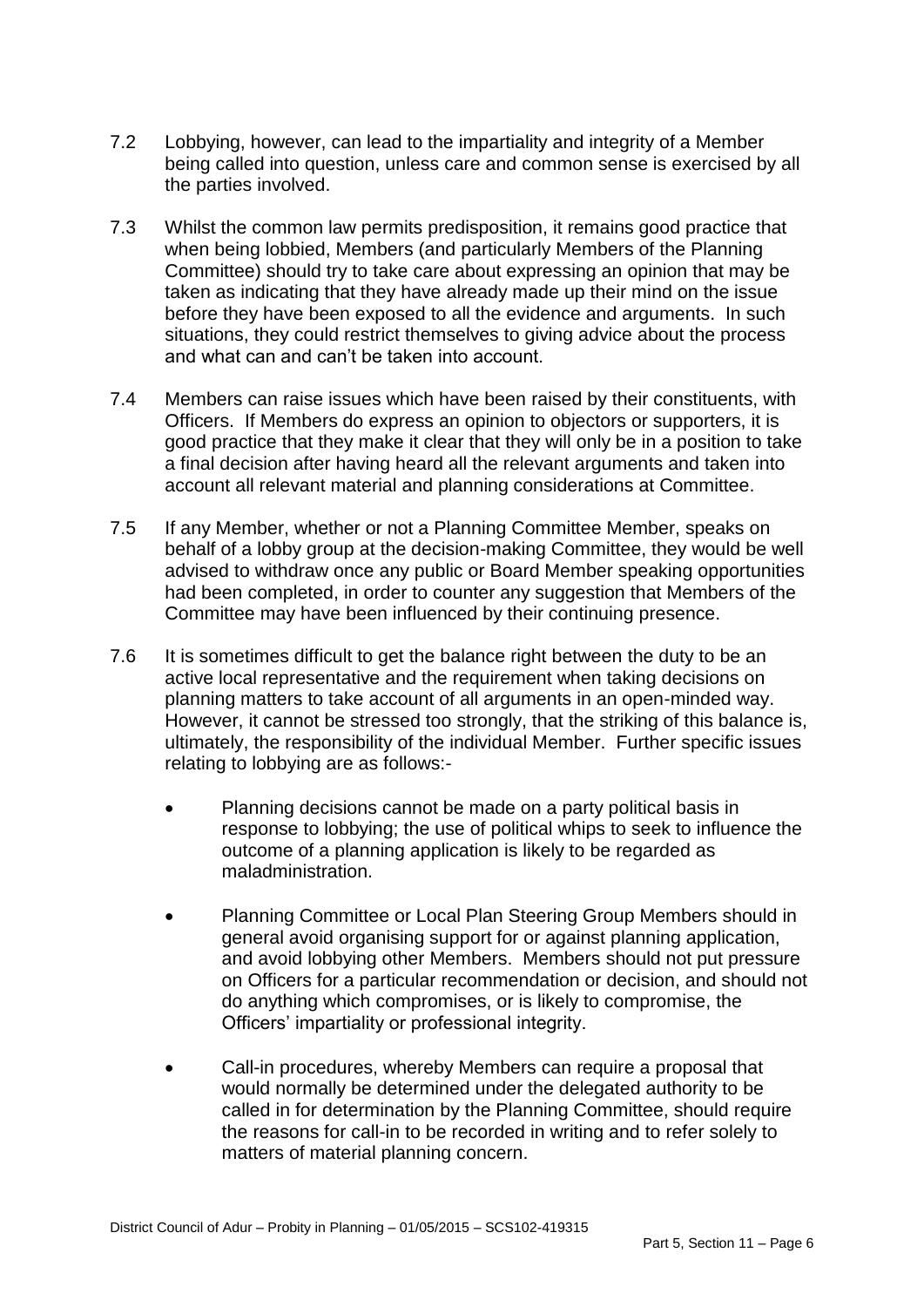- 7.2 Lobbying, however, can lead to the impartiality and integrity of a Member being called into question, unless care and common sense is exercised by all the parties involved.
- 7.3 Whilst the common law permits predisposition, it remains good practice that when being lobbied, Members (and particularly Members of the Planning Committee) should try to take care about expressing an opinion that may be taken as indicating that they have already made up their mind on the issue before they have been exposed to all the evidence and arguments. In such situations, they could restrict themselves to giving advice about the process and what can and can't be taken into account.
- 7.4 Members can raise issues which have been raised by their constituents, with Officers. If Members do express an opinion to objectors or supporters, it is good practice that they make it clear that they will only be in a position to take a final decision after having heard all the relevant arguments and taken into account all relevant material and planning considerations at Committee.
- 7.5 If any Member, whether or not a Planning Committee Member, speaks on behalf of a lobby group at the decision-making Committee, they would be well advised to withdraw once any public or Board Member speaking opportunities had been completed, in order to counter any suggestion that Members of the Committee may have been influenced by their continuing presence.
- 7.6 It is sometimes difficult to get the balance right between the duty to be an active local representative and the requirement when taking decisions on planning matters to take account of all arguments in an open-minded way. However, it cannot be stressed too strongly, that the striking of this balance is, ultimately, the responsibility of the individual Member. Further specific issues relating to lobbying are as follows:-
	- Planning decisions cannot be made on a party political basis in response to lobbying; the use of political whips to seek to influence the outcome of a planning application is likely to be regarded as maladministration.
	- Planning Committee or Local Plan Steering Group Members should in general avoid organising support for or against planning application, and avoid lobbying other Members. Members should not put pressure on Officers for a particular recommendation or decision, and should not do anything which compromises, or is likely to compromise, the Officers' impartiality or professional integrity.
	- Call-in procedures, whereby Members can require a proposal that would normally be determined under the delegated authority to be called in for determination by the Planning Committee, should require the reasons for call-in to be recorded in writing and to refer solely to matters of material planning concern.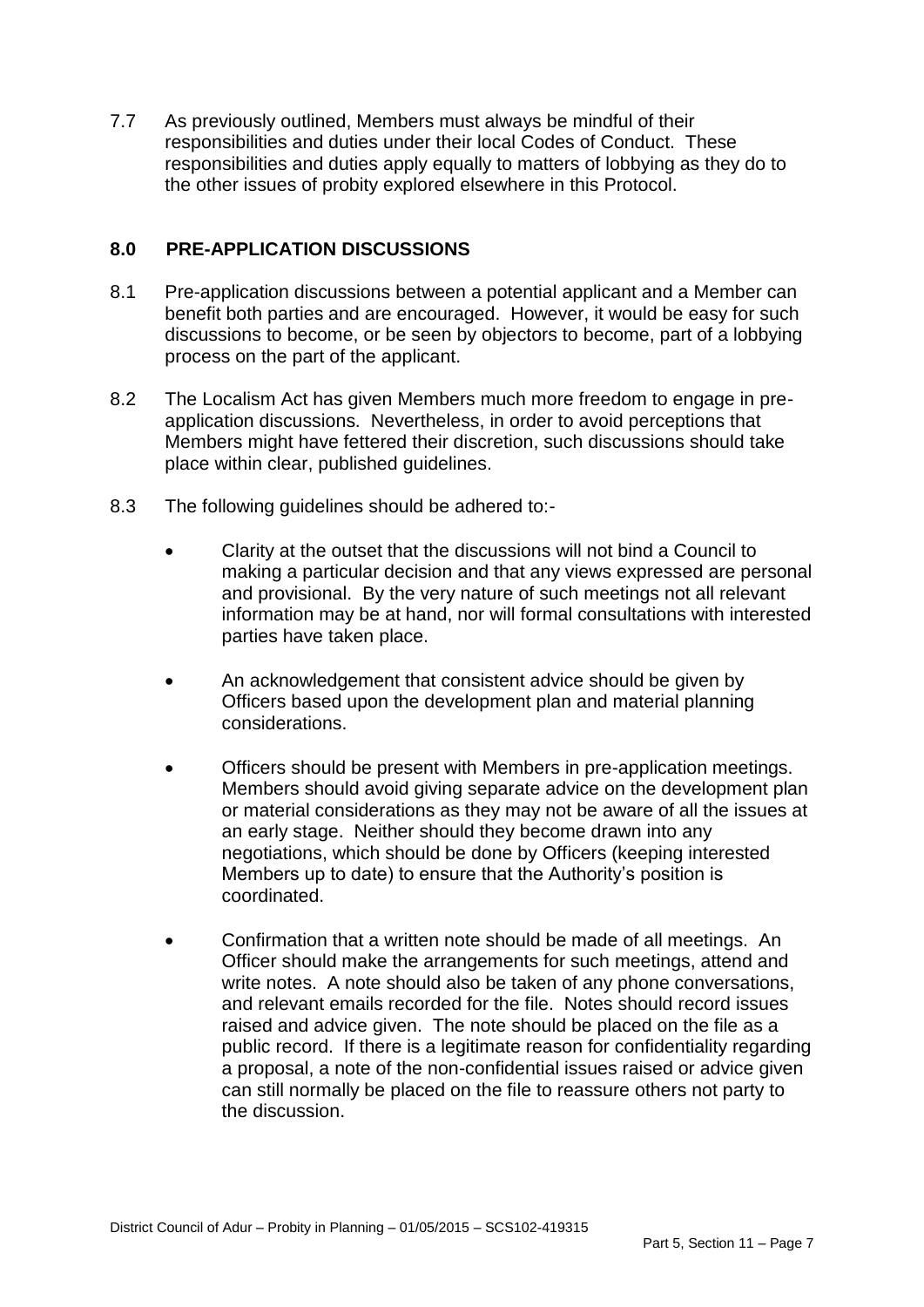7.7 As previously outlined, Members must always be mindful of their responsibilities and duties under their local Codes of Conduct. These responsibilities and duties apply equally to matters of lobbying as they do to the other issues of probity explored elsewhere in this Protocol.

## **8.0 PRE-APPLICATION DISCUSSIONS**

- 8.1 Pre-application discussions between a potential applicant and a Member can benefit both parties and are encouraged. However, it would be easy for such discussions to become, or be seen by objectors to become, part of a lobbying process on the part of the applicant.
- 8.2 The Localism Act has given Members much more freedom to engage in preapplication discussions. Nevertheless, in order to avoid perceptions that Members might have fettered their discretion, such discussions should take place within clear, published guidelines.
- 8.3 The following guidelines should be adhered to:-
	- Clarity at the outset that the discussions will not bind a Council to making a particular decision and that any views expressed are personal and provisional. By the very nature of such meetings not all relevant information may be at hand, nor will formal consultations with interested parties have taken place.
	- An acknowledgement that consistent advice should be given by Officers based upon the development plan and material planning considerations.
	- Officers should be present with Members in pre-application meetings. Members should avoid giving separate advice on the development plan or material considerations as they may not be aware of all the issues at an early stage. Neither should they become drawn into any negotiations, which should be done by Officers (keeping interested Members up to date) to ensure that the Authority's position is coordinated.
	- Confirmation that a written note should be made of all meetings. An Officer should make the arrangements for such meetings, attend and write notes. A note should also be taken of any phone conversations, and relevant emails recorded for the file. Notes should record issues raised and advice given. The note should be placed on the file as a public record. If there is a legitimate reason for confidentiality regarding a proposal, a note of the non-confidential issues raised or advice given can still normally be placed on the file to reassure others not party to the discussion.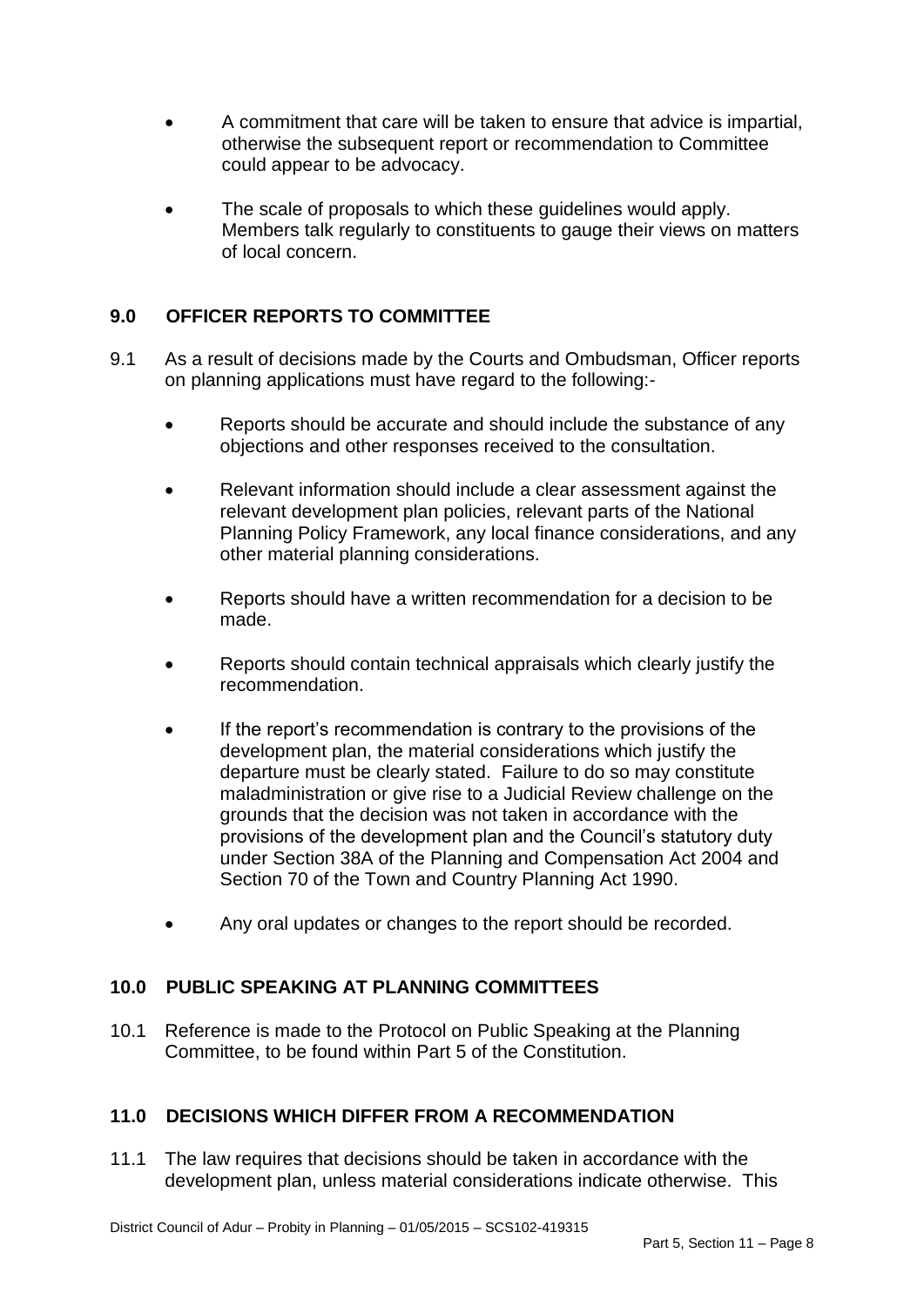- A commitment that care will be taken to ensure that advice is impartial, otherwise the subsequent report or recommendation to Committee could appear to be advocacy.
- The scale of proposals to which these guidelines would apply. Members talk regularly to constituents to gauge their views on matters of local concern.

# **9.0 OFFICER REPORTS TO COMMITTEE**

- 9.1 As a result of decisions made by the Courts and Ombudsman, Officer reports on planning applications must have regard to the following:-
	- Reports should be accurate and should include the substance of any objections and other responses received to the consultation.
	- Relevant information should include a clear assessment against the relevant development plan policies, relevant parts of the National Planning Policy Framework, any local finance considerations, and any other material planning considerations.
	- Reports should have a written recommendation for a decision to be made.
	- Reports should contain technical appraisals which clearly justify the recommendation.
	- If the report's recommendation is contrary to the provisions of the development plan, the material considerations which justify the departure must be clearly stated. Failure to do so may constitute maladministration or give rise to a Judicial Review challenge on the grounds that the decision was not taken in accordance with the provisions of the development plan and the Council's statutory duty under Section 38A of the Planning and Compensation Act 2004 and Section 70 of the Town and Country Planning Act 1990.
	- Any oral updates or changes to the report should be recorded.

### **10.0 PUBLIC SPEAKING AT PLANNING COMMITTEES**

10.1 Reference is made to the Protocol on Public Speaking at the Planning Committee, to be found within Part 5 of the Constitution.

### **11.0 DECISIONS WHICH DIFFER FROM A RECOMMENDATION**

11.1 The law requires that decisions should be taken in accordance with the development plan, unless material considerations indicate otherwise. This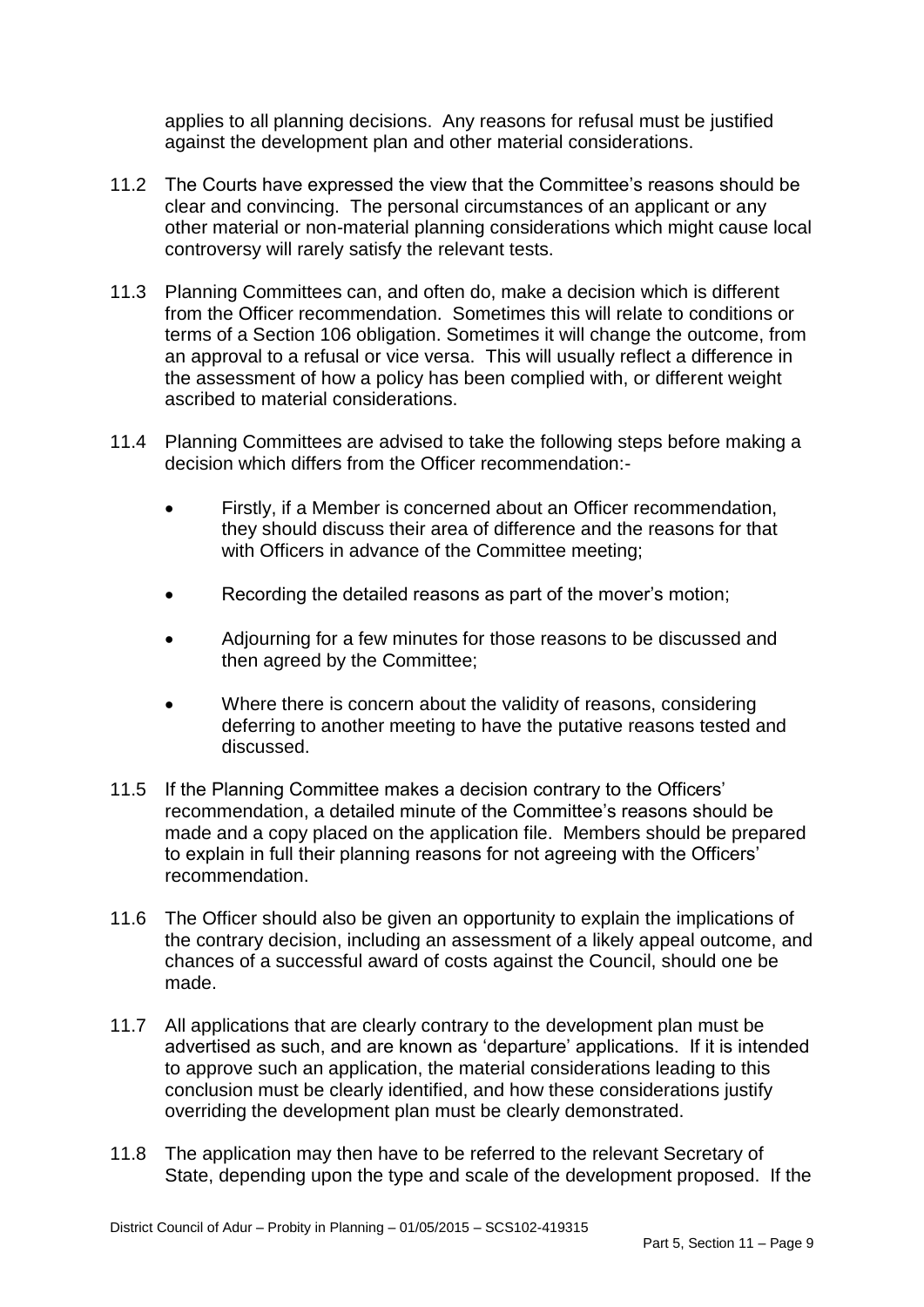applies to all planning decisions. Any reasons for refusal must be justified against the development plan and other material considerations.

- 11.2 The Courts have expressed the view that the Committee's reasons should be clear and convincing. The personal circumstances of an applicant or any other material or non-material planning considerations which might cause local controversy will rarely satisfy the relevant tests.
- 11.3 Planning Committees can, and often do, make a decision which is different from the Officer recommendation. Sometimes this will relate to conditions or terms of a Section 106 obligation. Sometimes it will change the outcome, from an approval to a refusal or vice versa. This will usually reflect a difference in the assessment of how a policy has been complied with, or different weight ascribed to material considerations.
- 11.4 Planning Committees are advised to take the following steps before making a decision which differs from the Officer recommendation:-
	- Firstly, if a Member is concerned about an Officer recommendation, they should discuss their area of difference and the reasons for that with Officers in advance of the Committee meeting;
	- Recording the detailed reasons as part of the mover's motion;
	- Adjourning for a few minutes for those reasons to be discussed and then agreed by the Committee;
	- Where there is concern about the validity of reasons, considering deferring to another meeting to have the putative reasons tested and discussed.
- 11.5 If the Planning Committee makes a decision contrary to the Officers' recommendation, a detailed minute of the Committee's reasons should be made and a copy placed on the application file. Members should be prepared to explain in full their planning reasons for not agreeing with the Officers' recommendation.
- 11.6 The Officer should also be given an opportunity to explain the implications of the contrary decision, including an assessment of a likely appeal outcome, and chances of a successful award of costs against the Council, should one be made.
- 11.7 All applications that are clearly contrary to the development plan must be advertised as such, and are known as 'departure' applications. If it is intended to approve such an application, the material considerations leading to this conclusion must be clearly identified, and how these considerations justify overriding the development plan must be clearly demonstrated.
- 11.8 The application may then have to be referred to the relevant Secretary of State, depending upon the type and scale of the development proposed. If the